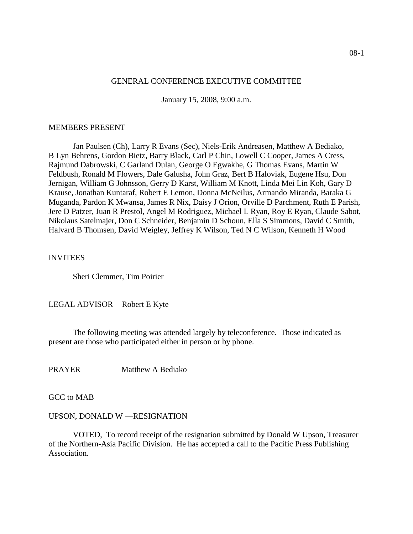## GENERAL CONFERENCE EXECUTIVE COMMITTEE

January 15, 2008, 9:00 a.m.

#### MEMBERS PRESENT

Jan Paulsen (Ch), Larry R Evans (Sec), Niels-Erik Andreasen, Matthew A Bediako, B Lyn Behrens, Gordon Bietz, Barry Black, Carl P Chin, Lowell C Cooper, James A Cress, Rajmund Dabrowski, C Garland Dulan, George O Egwakhe, G Thomas Evans, Martin W Feldbush, Ronald M Flowers, Dale Galusha, John Graz, Bert B Haloviak, Eugene Hsu, Don Jernigan, William G Johnsson, Gerry D Karst, William M Knott, Linda Mei Lin Koh, Gary D Krause, Jonathan Kuntaraf, Robert E Lemon, Donna McNeilus, Armando Miranda, Baraka G Muganda, Pardon K Mwansa, James R Nix, Daisy J Orion, Orville D Parchment, Ruth E Parish, Jere D Patzer, Juan R Prestol, Angel M Rodriguez, Michael L Ryan, Roy E Ryan, Claude Sabot, Nikolaus Satelmajer, Don C Schneider, Benjamin D Schoun, Ella S Simmons, David C Smith, Halvard B Thomsen, David Weigley, Jeffrey K Wilson, Ted N C Wilson, Kenneth H Wood

#### INVITEES

Sheri Clemmer, Tim Poirier

LEGAL ADVISOR Robert E Kyte

The following meeting was attended largely by teleconference. Those indicated as present are those who participated either in person or by phone.

PRAYER Matthew A Bediako

GCC to MAB

#### UPSON, DONALD W —RESIGNATION

VOTED, To record receipt of the resignation submitted by Donald W Upson, Treasurer of the Northern-Asia Pacific Division. He has accepted a call to the Pacific Press Publishing Association.